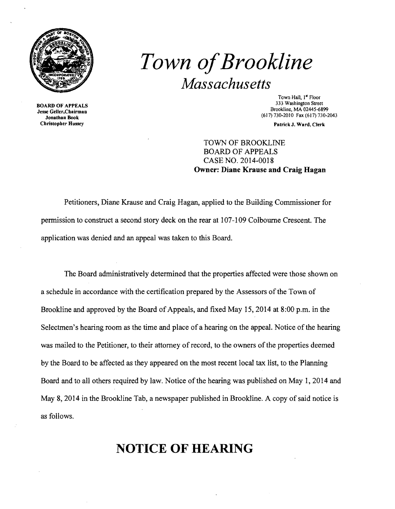

Christopher Hussey **Patrick J. Ward, Clerk** Christopher Hussey

## *Town ofBrookline Massachusetts*

Town Hall, I" Floor 333 Washington Street 333 Washington Street 333 Washington Street<br> **333 Washington Street** Brookline, MA 02445-6899<br> **333 Washington Street** Brookline, MA 02445-6899<br> **333 Washington Street** Brookline, MA 02445-6899<br> **333** 

TOWN OF BROOKLINE BOARD OF APPEALS CASE NO. 2014-0018 **Owner: Diane Krause and Craig Hagan** 

Petitioners, Diane Krause and Craig Hagan, applied to the Building Commissioner for pennission to construct a second story deck on the rear at 107-109 Colbourne Crescent. The application was denied and an appeal was taken to this Board.

The Board administratively determined that the properties affected were those shown on a schedule in accordance with the certification prepared by the Assessors of the Town of Brookline and approved by the Board of Appeals, and fixed May 15,2014 at 8:00 p.m. in the Selectmen's hearing room as the time and place of a hearing on the appeal. Notice of the hearing was mailed to the Petitioner, to their attorney of record, to the owners of the properties deemed by the Board to be affected as they appeared on the most recent local tax list, to the Planning Board and to all others required by law. Notice of the hearing was published on May 1, 2014 and May 8, 2014 in the Brookline Tab, a newspaper published in Brookline. A copy of said notice is as follows.

## **NOTICE OF HEARING**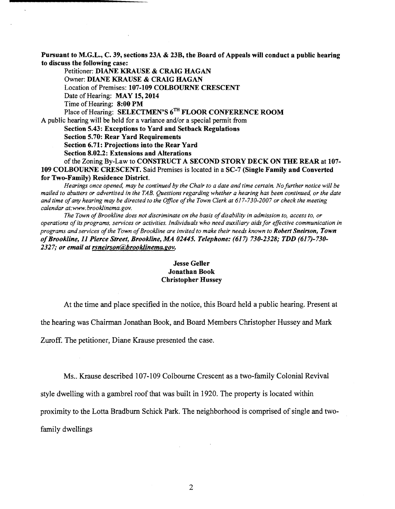Pursuant to M.G.L., C. 39, sections 23A & 23B, the Board of Appeals will conduct a public hearing to discuss the following case:

Petitioner: DIANE KRAUSE & CRAIG HAGAN Owner: DIANE KRAUSE & CRAIG HAGAN Location of Premises: 107-109 COLBOURNE CRESCENT Date of Hearing: MAY 15, 2014 Time of Hearing: 8:00 PM Place of Hearing: SELECTMEN'S 6<sup>TH</sup> FLOOR CONFERENCE ROOM

A public hearing will be held for a variance and/or a special permit from

Section 5.43: Exceptions to Yard and Setback Regulations

Section 5.70: Rear Yard Requirements

Section 6.71: Projections into the Rear Yard

Section 8.02.2: Extensions and Alterations

of the Zoning By-Law to CONSTRUCT A SECOND STORY DECK ON THE REAR at 107-109 COLBOURNE CRESCENT. Said Premises is located in a SC-7 (Single Family and Converted for Two-Family) Residence District.

*Hearings once opened, may be continued by the Chair to a date and time certain. No further notice will be mailed to abutters or advertised in the TAB, Questions regarding whether a hearing has been continued, or the date*  and time of any hearing may be directed to the Office of the Town Clerk at 617-730-2007 or check the meeting *calendar at:www,brooklinema,gov,* 

The Town of Brookline does not discriminate on the basis of disability in admission to, access to, or *operations ofits programs, services or activities, individuals who need auxiliary aids for effective communication in programs and services ofthe Town ofBrookline are invited to make their needs known to Robert Sneirson, Town ofBrookline,* 11 *Pierce Street, Brookline, MA 02445. Telephone:* (617) *730-2328; TDD (617)-730 2327; or email at rsneirson@brooklinema.gov.* 

## Jesse Geller Jonathan Book Christopher Hussey

At the time and place specified in the notice, this Board held a public hearing, Present at

the hearing was Chairman Jonathan Book, and Board Members Christopher Hussey and Mark

Zuroff. The petitioner, Diane Krause presented the case.

Ms.. Krause described 107-109 Colbourne Crescent as a two-family Colonial Revival

style dwelling with a gambrel roof that was built in 1920. The property is located within

proximity to the Lotta Bradburn Schick Park. The neighborhood is comprised of single and two-

family dwellings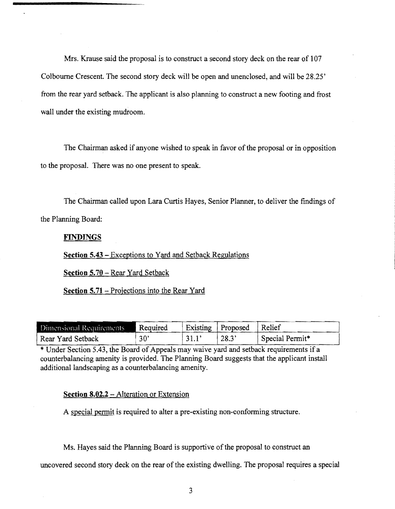Mrs. Krause said the proposal is to construct a second story deck on the rear of 107 Colbourne Crescent. The second story deck will be open and unenclosed, and will be 28.25' from the rear yard setback. The applicant is also planning to construct a new footing and frost wall under the existing mudroom.

The Chairman asked if anyone wished to speak in favor of the proposal or in opposition to the proposal. There was no one present to speak.

The Chairman called upon Lara Curtis Hayes, Senior Planner, to deliver the findings of the Planning Board:

## **FINDINGS**

**Section 5.43 -** Exceptions to Yard and Setback Regulations

**Section 5.70** - Rear Yard Setback

**Section** 5.71 - Projections into the Rear Yard

| Dimensional Requirements | Required |      | Existing   Proposed   Relief |                 |
|--------------------------|----------|------|------------------------------|-----------------|
| Rear Yard Setback        | 30'      | 31.1 | 128.3'                       | Special Permit* |

\* Under Section 5.43, the Board of Appeals may waive yard and setback requirements if a counterbalancing amenity is provided. The Planning Board suggests that the applicant install additional landscaping as a counterbalancing amenity.

**Section 8.02.2 – Alteration or Extension** 

A special permit is required to alter a pre-existing non-conforming structure.

Ms. Hayes said the Planning Board is supportive of the proposal to construct an

uncovered second story deck on the rear of the existing dwelling. The proposal requires a special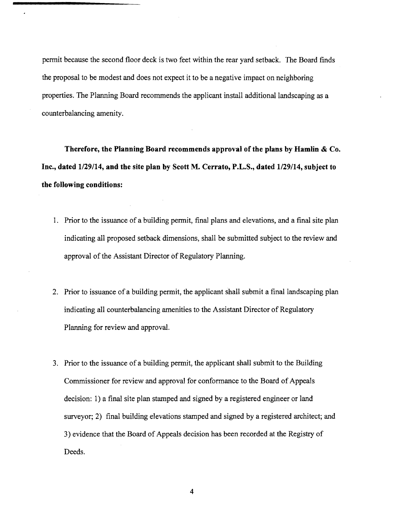pennit because the second floor deck is two feet within the rear yard setback. The Board finds the proposal to be modest and does not expect it to be a negative impact on neighboring properties. The Planning Board recommends the applicant install additional landscaping as a counterbalancing amenity.

**Therefore, the Planning Board recommends approval of the plans by Hamlin & Co. Inc., dated 1129/14, and the site plan by Scott M. Cerrato, P.L.S., dated 1129/14, subject to the following conditions:** 

- 1. Prior to the issuance of a building permit, final plans and elevations, and a final site plan indicating all proposed setback dimensions, shall be submitted subject to the review and approval of the Assistant Director of Regulatory Planning.
- 2. Prior to issuance of a building permit, the applicant shall submit a final landscaping plan indicating all counterbalancing amenities to the Assistant Director of Regulatory Planning for review and approval.
- 3. Prior to the issuance of a building permit, the applicant shall submit to the Building Commissioner for review and approval for conformance to the Board of Appeals decision: 1) a final site plan stamped and signed by a registered engineer or land surveyor; 2) final building elevations stamped and signed by a registered architect; and 3) evidence that the Board of Appeals decision has been recorded at the Registry of Deeds.

4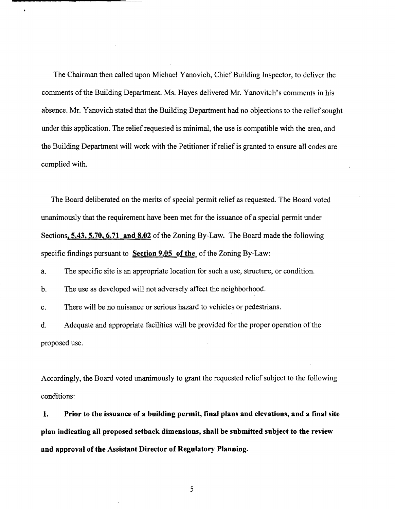The Chairman then called upon Michael Yanovich, Chief Building Inspector, to deliver the comments of the Building Department. Ms. Hayes delivered Mr. Yanovitch's comments in his absence. Mr. Yanovich stated that the Building Department had no objections to the relief sought under this application. The relief requested is minimal, the use is compatible with the area, and the Building Department will work with the Petitioner ifrelief is granted to ensure all codes are complied with.

The Board deliberated on the merits of special permit relief as requested. The Board voted unanimously that the requirement have been met for the issuance of a special permit under Sections, **5.43, 5.70, 6.71 and 8.02** of the Zoning By-Law. The Board made the following specific findings pursuant to **Section 9.05 of the** of the Zoning By-Law:

a. The specific site is an appropriate location for such a use, structure, or condition.

b. The use as developed will not adversely affect the neighborhood.

ł

c. There will be no nuisance or serious hazard to vehicles or pedestrians.

d. Adequate and appropriate facilities will be provided for the proper operation of the proposed use.

Accordingly, the Board voted unanimously to grant the requested relief subject to the following conditions:

**1. Prior to the issuance of a building permit, final plans and elevations, and a fmal site plan indicating all proposed setback dimensions, shall be submitted subject to the review and approval of the Assistant Director of Regulatory Planning.** 

5